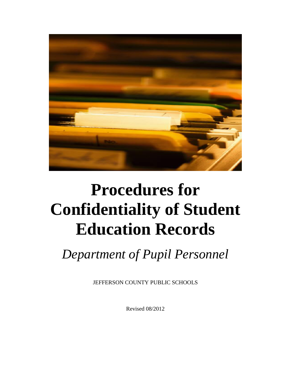

# **Procedures for Confidentiality of Student Education Records**

*Department of Pupil Personnel*

JEFFERSON COUNTY PUBLIC SCHOOLS

Revised 08/2012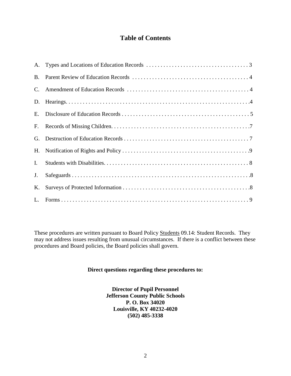## **Table of Contents**

| <b>B.</b>      |  |
|----------------|--|
| $\mathbf{C}$ . |  |
|                |  |
| E.             |  |
| F.             |  |
| G.             |  |
| Н.             |  |
| Ι.             |  |
| J.             |  |
| Κ.             |  |
|                |  |

These procedures are written pursuant to Board Policy Students 09.14: Student Records. They may not address issues resulting from unusual circumstances. If there is a conflict between these procedures and Board policies, the Board policies shall govern.

#### **Direct questions regarding these procedures to:**

**Director of Pupil Personnel Jefferson County Public Schools P. O. Box 34020 Louisville, KY 40232-4020 (502) 485-3338**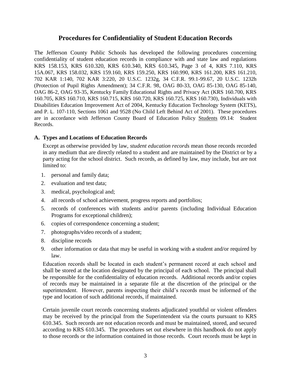### **Procedures for Confidentiality of Student Education Records**

The Jefferson County Public Schools has developed the following procedures concerning confidentiality of student education records in compliance with and state law and regulations KRS 158.153, KRS 610.320, KRS 610.340, KRS 610.345, Page 3 of 4, KRS 7.110, KRS 15A.067, KRS 158.032, KRS 159.160, KRS 159.250, KRS 160.990, KRS 161.200, KRS 161.210, 702 KAR 1:140, 702 KAR 3:220, 20 U.S.C. 1232g, 34 C.F.R. 99.1-99.67, 20 U.S.C. 1232h (Protection of Pupil Rights Amendment); 34 C.F.R. 98, OAG 80-33, OAG 85-130, OAG 85-140, OAG 86-2, OAG 93-35, Kentucky Family Educational Rights and Privacy Act (KRS 160.700, KRS 160.705, KRS 160.710, KRS 160.715, KRS 160.720, KRS 160.725, KRS 160.730), Individuals with Disabilities Education Improvement Act of 2004, Kentucky Education Technology System (KETS), and P. L. 107-110, Sections 1061 and 9528 (No Child Left Behind Act of 2001). These procedures are in accordance with Jefferson County Board of Education Policy Students 09.14: Student Records.

#### **A. Types and Locations of Education Records**

Except as otherwise provided by law, *student education records* mean those records recorded in any medium that are directly related to a student and are maintained by the District or by a party acting for the school district. Such records, as defined by law, may include, but are not limited to:

- 1. personal and family data;
- 2. evaluation and test data;
- 3. medical, psychological and;
- 4. all records of school achievement, progress reports and portfolios;
- 5. records of conferences with students and/or parents (including Individual Education Programs for exceptional children);
- 6. copies of correspondence concerning a student;
- 7. photographs/video records of a student;
- 8. discipline records
- 9. other information or data that may be useful in working with a student and/or required by law.

Education records shall be located in each student's permanent record at each school and shall be stored at the location designated by the principal of each school. The principal shall be responsible for the confidentiality of education records. Additional records and/or copies of records may be maintained in a separate file at the discretion of the principal or the superintendent. However, parents inspecting their child's records must be informed of the type and location of such additional records, if maintained.

Certain juvenile court records concerning students adjudicated youthful or violent offenders may be received by the principal from the Superintendent via the courts pursuant to KRS 610.345. Such records are not education records and must be maintained, stored, and secured according to KRS 610.345. The procedures set out elsewhere in this handbook do not apply to those records or the information contained in those records. Court records must be kept in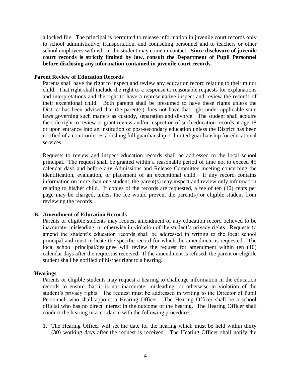a locked file. The principal is permitted to release information in juvenile court records only to school administrative, transportation, and counseling personnel and to teachers or other school employees with whom the student may come in contact. **Since disclosure of juvenile court records is strictly limited by law, consult the Department of Pupil Personnel before disclosing any information contained in juvenile court records.**

#### **Parent Review of Education Records**

Parents shall have the right to inspect and review any education record relating to their minor child. That right shall include the right to a response to reasonable requests for explanations and interpretations and the right to have a representative inspect and review the records of their exceptional child. Both parents shall be presumed to have these rights unless the District has been advised that the parent(s) does not have that right under applicable state laws governing such matters as custody, separation and divorce. The student shall acquire the sole right to review or grant review and/or inspection of such education records at age 18 or upon entrance into an institution of post-secondary education unless the District has been notified of a court order establishing full guardianship or limited guardianship for educational services.

Requests to review and inspect education records shall be addressed to the local school principal. The request shall be granted within a reasonable period of time not to exceed 45 calendar days and before any Admissions and Release Committee meeting concerning the identification, evaluation, or placement of an exceptional child. If any record contains information on more than one student, the parent(s) may inspect and review only information relating to his/her child. If copies of the records are requested, a fee of ten (10) cents per page may be charged, unless the fee would prevent the parent(s) or eligible student from reviewing the records.

#### **B. Amendment of Education Records**

Parents or eligible students may request amendment of any education record believed to be inaccurate, misleading, or otherwise in violation of the student's privacy rights. Requests to amend the student's education records shall be addressed in writing to the local school principal and must indicate the specific record for which the amendment is requested. The local school principal/designee will review the request for amendment within ten (10) calendar days after the request is received. If the amendment is refused, the parent or eligible student shall be notified of his/her right to a hearing.

#### **Hearings**

Parents or eligible students may request a hearing to challenge information in the education records to ensure that it is not inaccurate, misleading, or otherwise in violation of the student's privacy rights. The request must be addressed in writing to the Director of Pupil Personnel, who shall appoint a Hearing Officer. The Hearing Officer shall be a school official who has no direct interest in the outcome of the hearing. The Hearing Officer shall conduct the hearing in accordance with the following procedures:

1. The Hearing Officer will set the date for the hearing which must be held within thirty (30) working days after the request is received. The Hearing Officer shall notify the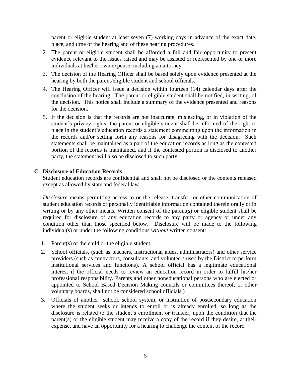parent or eligible student at least seven (7) working days in advance of the exact date, place, and time of the hearing and of these hearing procedures.

- 2. The parent or eligible student shall be afforded a full and fair opportunity to present evidence relevant to the issues raised and may be assisted or represented by one or more individuals at his/her own expense, including an attorney.
- 3. The decision of the Hearing Officer shall be based solely upon evidence presented at the hearing by both the parent/eligible student and school officials.
- 4. The Hearing Officer will issue a decision within fourteen (14) calendar days after the conclusion of the hearing. The parent or eligible student shall be notified, in writing, of the decision. This notice shall include a summary of the evidence presented and reasons for the decision.
- 5. If the decision is that the records are not inaccurate, misleading, or in violation of the student's privacy rights, the parent or eligible student shall be informed of the right to place in the student's education records a statement commenting upon the information in the records and/or setting forth any reasons for disagreeing with the decision. Such statements shall be maintained as a part of the education records as long as the contested portion of the records is maintained, and if the contested portion is disclosed to another party, the statement will also be disclosed to such party.

#### **C. Disclosure of Education Records**

Student education records are confidential and shall not be disclosed or the contents released except as allowed by state and federal law.

*Disclosure* means permitting access to or the release, transfer, or other communication of student education records or personally identifiable information contained therein orally or in writing or by any other means. Written consent of the parent(s) or eligible student shall be required for disclosure of any education records to any party or agency or under any condition other than those specified below. Disclosure will be made to the following individual(s) or under the following conditions *without* written consent:

- 1. Parent(s) of the child or the eligible student
- 2. School officials, (such as teachers, instructional aides, administrators) and other service providers (such as contractors, consultants, and volunteers used by the District to perform institutional services and functions). A school official has a legitimate educational interest if the official needs to review an education record in order to fulfill his/her professional responsibility. Parents and other noneducational persons who are elected or appointed to School Based Decision Making councils or committees thereof, or other voluntary boards, shall not be considered school officials.)
- 3. Officials of another school, school system, or institution of postsecondary education where the student seeks or intends to enroll or is already enrolled, so long as the disclosure is related to the student's enrollment or transfer, upon the condition that the parent(s) or the eligible student may receive a copy of the record if they desire, at their expense, and have an opportunity for a hearing to challenge the content of the record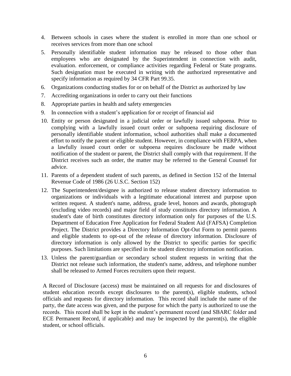- 4. Between schools in cases where the student is enrolled in more than one school or receives services from more than one school
- 5. Personally identifiable student information may be released to those other than employees who are designated by the Superintendent in connection with audit, evaluation. enforcement, or compliance activities regarding Federal or State programs. Such designation must be executed in writing with the authorized representative and specify information as required by 34 CFR Part 99.35.
- 6. Organizations conducting studies for or on behalf of the District as authorized by law
- 7. Accrediting organizations in order to carry out their functions
- 8. Appropriate parties in health and safety emergencies
- 9. In connection with a student's application for or receipt of financial aid
- 10. Entity or person designated in a judicial order or lawfully issued subpoena. Prior to complying with a lawfully issued court order or subpoena requiring disclosure of personally identifiable student information, school authorities shall make a documented effort to notify the parent or eligible student. However, in compliance with FERPA, when a lawfully issued court order or subpoena requires disclosure be made without notification of the student or parent, the District shall comply with that requirement. If the District receives such an order, the matter may be referred to the General Counsel for advice.
- 11. Parents of a dependent student of such parents, as defined in Section 152 of the Internal Revenue Code of 1986 (26 U.S.C. Section 152)
- 12. The Superintendent/designee is authorized to release student directory information to organizations or individuals with a legitimate educational interest and purpose upon written request. A student's name, address, grade level, honors and awards, photograph (excluding video records) and major field of study constitutes directory information. A student's date of birth constitutes directory information only for purposes of the U.S. Department of Education Free Application for Federal Student Aid (FAFSA) Completion Project. The District provides a Directory Information Opt-Out Form to permit parents and eligible students to opt-out of the release of directory information. Disclosure of directory information is only allowed by the District to specific parties for specific purposes. Such limitations are specified in the student directory information notification.
- 13. Unless the parent/guardian or secondary school student requests in writing that the District not release such information, the student's name, address, and telephone number shall be released to Armed Forces recruiters upon their request.

A Record of Disclosure (access) must be maintained on all requests for and disclosures of student education records except disclosures to the parent(s), eligible students, school officials and requests for directory information. This record shall include the name of the party, the date access was given, and the purpose for which the party is authorized to use the records. This record shall be kept in the student's permanent record (and SBARC folder and ECE Permanent Record, if applicable) and may be inspected by the parent(s), the eligible student, or school officials.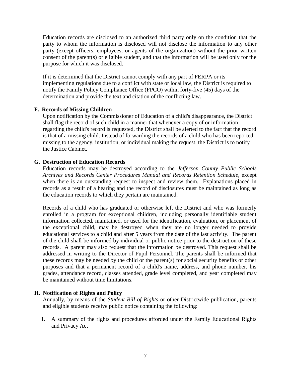Education records are disclosed to an authorized third party only on the condition that the party to whom the information is disclosed will not disclose the information to any other party (except officers, employees, or agents of the organization) without the prior written consent of the parent(s) or eligible student, and that the information will be used only for the purpose for which it was disclosed.

If it is determined that the District cannot comply with any part of FERPA or its implementing regulations due to a conflict with state or local law, the District is required to notify the Family Policy Compliance Office (FPCO) within forty-five (45) days of the determination and provide the text and citation of the conflicting law.

#### **F. Records of Missing Children**

Upon notification by the Commissioner of Education of a child's disappearance, the District shall flag the record of such child in a manner that whenever a copy of or information regarding the child's record is requested, the District shall be alerted to the fact that the record is that of a missing child. Instead of forwarding the records of a child who has been reported missing to the agency, institution, or individual making the request, the District is to notify the Justice Cabinet.

#### **G. Destruction of Education Records**

Education records may be destroyed according to the *Jefferson County Public Schools Archives and Records Center Procedures Manual and Records Retention Schedule*, except when there is an outstanding request to inspect and review them. Explanations placed in records as a result of a hearing and the record of disclosures must be maintained as long as the education records to which they pertain are maintained.

Records of a child who has graduated or otherwise left the District and who was formerly enrolled in a program for exceptional children, including personally identifiable student information collected, maintained, or used for the identification, evaluation, or placement of the exceptional child, may be destroyed when they are no longer needed to provide educational services to a child and after 5 years from the date of the last activity. The parent of the child shall be informed by individual or public notice prior to the destruction of these records. A parent may also request that the information be destroyed. This request shall be addressed in writing to the Director of Pupil Personnel. The parents shall be informed that these records may be needed by the child or the parent(s) for social security benefits or other purposes and that a permanent record of a child's name, address, and phone number, his grades, attendance record, classes attended, grade level completed, and year completed may be maintained without time limitations.

#### **H. Notification of Rights and Policy**

Annually, by means of the *Student Bill of Rights* or other Districtwide publication, parents and eligible students receive public notice containing the following:

1. A summary of the rights and procedures afforded under the Family Educational Rights and Privacy Act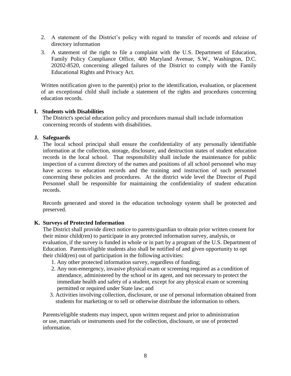- 2. A statement of the District's policy with regard to transfer of records and release of directory information
- 3. A statement of the right to file a complaint with the U.S. Department of Education, Family Policy Compliance Office, 400 Maryland Avenue, S.W., Washington, D.C. 20202-8520, concerning alleged failures of the District to comply with the Family Educational Rights and Privacy Act.

Written notification given to the parent(s) prior to the identification, evaluation, or placement of an exceptional child shall include a statement of the rights and procedures concerning education records.

#### **I. Students with Disabilities**

The District's special education policy and procedures manual shall include information concerning records of students with disabilities.

#### **J. Safeguards**

The local school principal shall ensure the confidentiality of any personally identifiable information at the collection, storage, disclosure, and destruction states of student education records in the local school. That responsibility shall include the maintenance for public inspection of a current directory of the names and positions of all school personnel who may have access to education records and the training and instruction of such personnel concerning these policies and procedures. At the district wide level the Director of Pupil Personnel shall be responsible for maintaining the confidentiality of student education records.

Records generated and stored in the education technology system shall be protected and preserved.

#### **K. Surveys of Protected Information**

The District shall provide direct notice to parents/guardian to obtain prior written consent for their minor child(ren) to participate in any protected information survey, analysis, or evaluation, if the survey is funded in whole or in part by a program of the U.S. Department of Education. Parents/eligible students also shall be notified of and given opportunity to opt their child(ren) out of participation in the following activities:

- 1. Any other protected information survey, regardless of funding;
- 2. Any non-emergency, invasive physical exam or screening required as a condition of attendance, administered by the school or its agent, and not necessary to protect the immediate health and safety of a student, except for any physical exam or screening permitted or required under State law; and
- 3. Activities involving collection, disclosure, or use of personal information obtained from students for marketing or to sell or otherwise distribute the information to others.

Parents/eligible students may inspect, upon written request and prior to administration or use, materials or instruments used for the collection, disclosure, or use of protected information.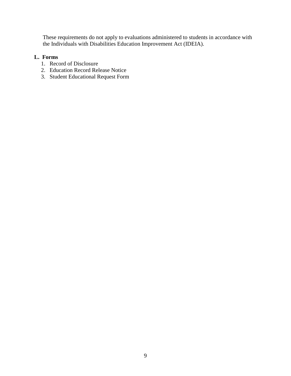These requirements do not apply to evaluations administered to students in accordance with the Individuals with Disabilities Education Improvement Act (IDEIA).

#### **L. Forms**

- 1. Record of Disclosure
- 2. Education Record Release Notice
- 3. Student Educational Request Form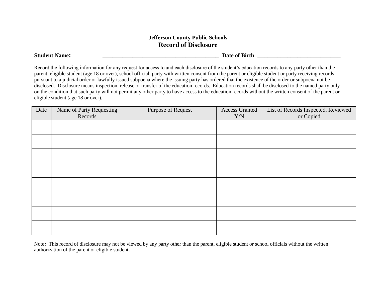#### **Jefferson County Public Schools Record of Disclosure**

**Student Name: \_\_\_\_\_\_\_\_\_\_\_\_\_\_\_\_\_\_\_\_\_\_\_\_\_\_\_\_\_\_\_\_\_\_\_ Date of Birth \_\_\_\_\_\_\_\_\_\_\_\_\_\_\_\_\_\_\_\_\_\_\_\_\_**

Record the following information for any request for access to and each disclosure of the student's education records to any party other than the parent, eligible student (age 18 or over), school official, party with written consent from the parent or eligible student or party receiving records pursuant to a judicial order or lawfully issued subpoena where the issuing party has ordered that the existence of the order or subpoena not be disclosed. Disclosure means inspection, release or transfer of the education records. Education records shall be disclosed to the named party only on the condition that such party will not permit any other party to have access to the education records without the written consent of the parent or eligible student (age 18 or over).

| Date | Name of Party Requesting<br>Records | Purpose of Request | <b>Access Granted</b><br>Y/N | List of Records Inspected, Reviewed<br>or Copied |
|------|-------------------------------------|--------------------|------------------------------|--------------------------------------------------|
|      |                                     |                    |                              |                                                  |
|      |                                     |                    |                              |                                                  |
|      |                                     |                    |                              |                                                  |
|      |                                     |                    |                              |                                                  |
|      |                                     |                    |                              |                                                  |
|      |                                     |                    |                              |                                                  |
|      |                                     |                    |                              |                                                  |
|      |                                     |                    |                              |                                                  |

Note**:** This record of disclosure may not be viewed by any party other than the parent, eligible student or school officials without the written authorization of the parent or eligible student**.**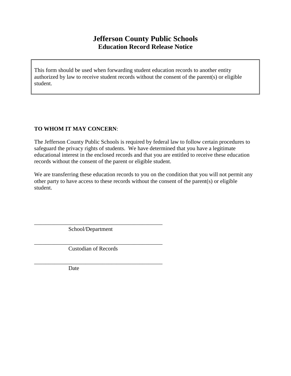## **Jefferson County Public Schools Education Record Release Notice**

This form should be used when forwarding student education records to another entity authorized by law to receive student records without the consent of the parent(s) or eligible student.

#### **TO WHOM IT MAY CONCERN**:

The Jefferson County Public Schools is required by federal law to follow certain procedures to safeguard the privacy rights of students. We have determined that you have a legitimate educational interest in the enclosed records and that you are entitled to receive these education records without the consent of the parent or eligible student.

We are transferring these education records to you on the condition that you will not permit any other party to have access to these records without the consent of the parent(s) or eligible student.

School/Department

\_\_\_\_\_\_\_\_\_\_\_\_\_\_\_\_\_\_\_\_\_\_\_\_\_\_\_\_\_\_\_\_\_\_\_\_\_\_\_\_\_\_\_\_\_

\_\_\_\_\_\_\_\_\_\_\_\_\_\_\_\_\_\_\_\_\_\_\_\_\_\_\_\_\_\_\_\_\_\_\_\_\_\_\_\_\_\_\_\_\_

\_\_\_\_\_\_\_\_\_\_\_\_\_\_\_\_\_\_\_\_\_\_\_\_\_\_\_\_\_\_\_\_\_\_\_\_\_\_\_\_\_\_\_\_\_

Custodian of Records

Date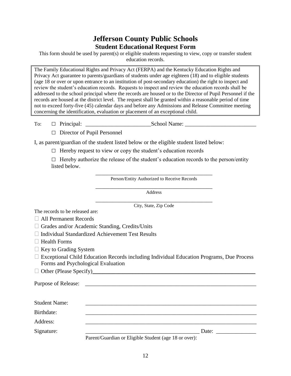## **Jefferson County Public Schools Student Educational Request Form**

This form should be used by parent(s) or eligible students requesting to view, copy or transfer student education records.

The Family Educational Rights and Privacy Act (FERPA) and the Kentucky Education Rights and Privacy Act guarantee to parents/guardians of students under age eighteen (18) and to eligible students (age 18 or over or upon entrance to an institution of post-secondary education) the right to inspect and review the student's education records. Requests to inspect and review the education records shall be addressed to the school principal where the records are housed or to the Director of Pupil Personnel if the records are housed at the district level. The request shall be granted within a reasonable period of time not to exceed forty-five (45) calendar days and before any Admissions and Release Committee meeting concerning the identification, evaluation or placement of an exceptional child.

To: □ Principal: \_\_\_\_\_\_\_\_\_\_\_\_\_\_\_\_\_\_\_\_\_\_\_School Name: \_\_\_\_\_\_\_\_\_\_\_\_\_\_\_\_\_\_\_\_\_\_\_\_\_

□ Director of Pupil Personnel

I, as parent/guardian of the student listed below or the eligible student listed below:

 $\Box$  Hereby request to view or copy the student's education records

 $\Box$  Hereby authorize the release of the student's education records to the person/entity listed below.

> \_\_\_\_\_\_\_\_\_\_\_\_\_\_\_\_\_\_\_\_\_\_\_\_\_\_\_\_\_\_\_\_\_\_\_\_\_\_\_\_\_ Person/Entity Authorized to Receive Records

> \_\_\_\_\_\_\_\_\_\_\_\_\_\_\_\_\_\_\_\_\_\_\_\_\_\_\_\_\_\_\_\_\_\_\_\_\_\_\_\_\_ Address

> \_\_\_\_\_\_\_\_\_\_\_\_\_\_\_\_\_\_\_\_\_\_\_\_\_\_\_\_\_\_\_\_\_\_\_\_\_\_\_\_\_ City, State, Zip Code

The records to be released are:

All Permanent Records

□ Grades and/or Academic Standing, Credits/Units

- $\Box$  Individual Standardized Achievement Test Results
- □ Health Forms
- □ Key to Grading System
- □ Exceptional Child Education Records including Individual Education Programs, Due Process Forms and Psychological Evaluation

Other (Please Specify)**\_\_\_\_\_\_\_\_\_\_\_\_\_\_\_\_\_\_\_\_\_\_\_\_\_\_\_\_\_\_\_\_\_\_\_\_\_\_\_\_\_\_\_\_\_\_\_\_\_**

| <b>Purpose of Release:</b> | <u> 1980 - Andrea Andrew Maria (h. 1980).</u>         |       |
|----------------------------|-------------------------------------------------------|-------|
| <b>Student Name:</b>       |                                                       |       |
| Birthdate:                 |                                                       |       |
| Address:                   |                                                       |       |
| Signature:                 |                                                       | Date: |
|                            | Parent/Guardian or Eligible Student (age 18 or over): |       |